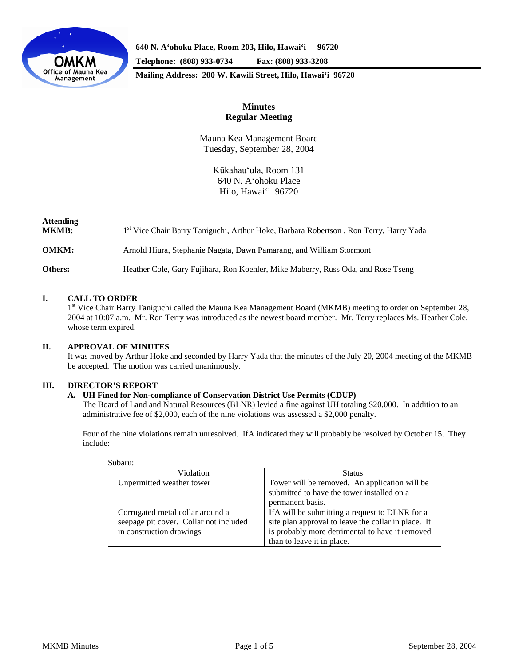

**640 N. A'ohoku Place, Room 203, Hilo, Hawai'i 96720 Telephone: (808) 933-0734 Fax: (808) 933-3208**

**Mailing Address: 200 W. Kawili Street, Hilo, Hawai'i 96720**

# **Minutes Regular Meeting**

Mauna Kea Management Board Tuesday, September 28, 2004

> Kūkahau'ula, Room 131 640 N. A'ohoku Place Hilo, Hawai'i 96720

| <b>Attending</b><br><b>MKMB:</b> | 1st Vice Chair Barry Taniguchi, Arthur Hoke, Barbara Robertson, Ron Terry, Harry Yada |
|----------------------------------|---------------------------------------------------------------------------------------|
| <b>OMKM:</b>                     | Arnold Hiura, Stephanie Nagata, Dawn Pamarang, and William Stormont                   |
| Others:                          | Heather Cole, Gary Fujihara, Ron Koehler, Mike Maberry, Russ Oda, and Rose Tseng      |

# **I. CALL TO ORDER**

<sup>1st</sup> Vice Chair Barry Taniguchi called the Mauna Kea Management Board (MKMB) meeting to order on September 28, 2004 at 10:07 a.m. Mr. Ron Terry was introduced as the newest board member. Mr. Terry replaces Ms. Heather Cole, whose term expired.

### **II. APPROVAL OF MINUTES**

It was moved by Arthur Hoke and seconded by Harry Yada that the minutes of the July 20, 2004 meeting of the MKMB be accepted. The motion was carried unanimously.

### **III. DIRECTOR'S REPORT**

### **A. UH Fined for Non-compliance of Conservation District Use Permits (CDUP)**

The Board of Land and Natural Resources (BLNR) levied a fine against UH totaling \$20,000. In addition to an administrative fee of \$2,000, each of the nine violations was assessed a \$2,000 penalty.

Four of the nine violations remain unresolved. IfA indicated they will probably be resolved by October 15. They include:

| Violation                                                                                              | <b>Status</b>                                                                                                                                                                           |  |  |
|--------------------------------------------------------------------------------------------------------|-----------------------------------------------------------------------------------------------------------------------------------------------------------------------------------------|--|--|
| Unpermitted weather tower                                                                              | Tower will be removed. An application will be<br>submitted to have the tower installed on a<br>permanent basis.                                                                         |  |  |
| Corrugated metal collar around a<br>seepage pit cover. Collar not included<br>in construction drawings | If A will be submitting a request to DLNR for a<br>site plan approval to leave the collar in place. It<br>is probably more detrimental to have it removed<br>than to leave it in place. |  |  |

Subaru: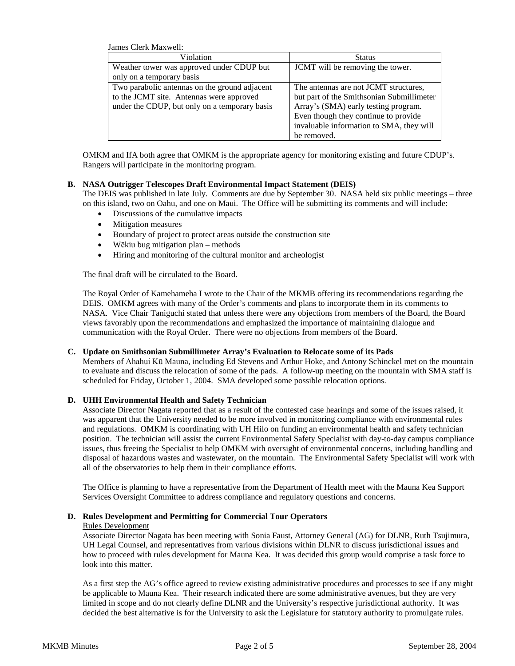James Clerk Maxwell:

| Violation                                     | <b>Status</b>                             |  |  |
|-----------------------------------------------|-------------------------------------------|--|--|
| Weather tower was approved under CDUP but     | JCMT will be removing the tower.          |  |  |
| only on a temporary basis                     |                                           |  |  |
| Two parabolic antennas on the ground adjacent | The antennas are not JCMT structures,     |  |  |
| to the JCMT site. Antennas were approved      | but part of the Smithsonian Submillimeter |  |  |
| under the CDUP, but only on a temporary basis | Array's (SMA) early testing program.      |  |  |
|                                               | Even though they continue to provide      |  |  |
|                                               | invaluable information to SMA, they will  |  |  |
|                                               | be removed.                               |  |  |

OMKM and IfA both agree that OMKM is the appropriate agency for monitoring existing and future CDUP's. Rangers will participate in the monitoring program.

#### **B. NASA Outrigger Telescopes Draft Environmental Impact Statement (DEIS)**

The DEIS was published in late July. Comments are due by September 30. NASA held six public meetings – three on this island, two on Oahu, and one on Maui. The Office will be submitting its comments and will include:

- Discussions of the cumulative impacts
- Mitigation measures
- Boundary of project to protect areas outside the construction site
- Wēkiu bug mitigation plan methods
- Hiring and monitoring of the cultural monitor and archeologist

The final draft will be circulated to the Board.

The Royal Order of Kamehameha I wrote to the Chair of the MKMB offering its recommendations regarding the DEIS. OMKM agrees with many of the Order's comments and plans to incorporate them in its comments to NASA. Vice Chair Taniguchi stated that unless there were any objections from members of the Board, the Board views favorably upon the recommendations and emphasized the importance of maintaining dialogue and communication with the Royal Order. There were no objections from members of the Board.

#### **C. Update on Smithsonian Submillimeter Array's Evaluation to Relocate some of its Pads**

Members of Ahahui Kū Mauna, including Ed Stevens and Arthur Hoke, and Antony Schinckel met on the mountain to evaluate and discuss the relocation of some of the pads. A follow-up meeting on the mountain with SMA staff is scheduled for Friday, October 1, 2004. SMA developed some possible relocation options.

### **D. UHH Environmental Health and Safety Technician**

Associate Director Nagata reported that as a result of the contested case hearings and some of the issues raised, it was apparent that the University needed to be more involved in monitoring compliance with environmental rules and regulations. OMKM is coordinating with UH Hilo on funding an environmental health and safety technician position. The technician will assist the current Environmental Safety Specialist with day-to-day campus compliance issues, thus freeing the Specialist to help OMKM with oversight of environmental concerns, including handling and disposal of hazardous wastes and wastewater, on the mountain. The Environmental Safety Specialist will work with all of the observatories to help them in their compliance efforts.

The Office is planning to have a representative from the Department of Health meet with the Mauna Kea Support Services Oversight Committee to address compliance and regulatory questions and concerns.

### **D. Rules Development and Permitting for Commercial Tour Operators**

#### Rules Development

Associate Director Nagata has been meeting with Sonia Faust, Attorney General (AG) for DLNR, Ruth Tsujimura, UH Legal Counsel, and representatives from various divisions within DLNR to discuss jurisdictional issues and how to proceed with rules development for Mauna Kea. It was decided this group would comprise a task force to look into this matter.

As a first step the AG's office agreed to review existing administrative procedures and processes to see if any might be applicable to Mauna Kea. Their research indicated there are some administrative avenues, but they are very limited in scope and do not clearly define DLNR and the University's respective jurisdictional authority. It was decided the best alternative is for the University to ask the Legislature for statutory authority to promulgate rules.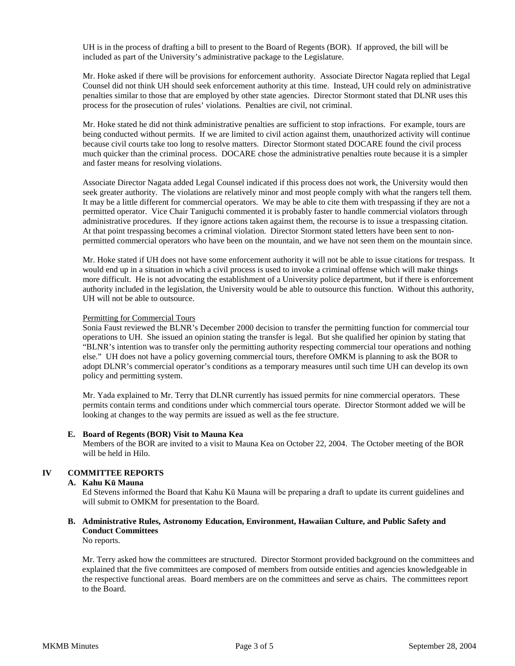UH is in the process of drafting a bill to present to the Board of Regents (BOR). If approved, the bill will be included as part of the University's administrative package to the Legislature.

Mr. Hoke asked if there will be provisions for enforcement authority. Associate Director Nagata replied that Legal Counsel did not think UH should seek enforcement authority at this time. Instead, UH could rely on administrative penalties similar to those that are employed by other state agencies. Director Stormont stated that DLNR uses this process for the prosecution of rules' violations. Penalties are civil, not criminal.

Mr. Hoke stated he did not think administrative penalties are sufficient to stop infractions. For example, tours are being conducted without permits. If we are limited to civil action against them, unauthorized activity will continue because civil courts take too long to resolve matters. Director Stormont stated DOCARE found the civil process much quicker than the criminal process. DOCARE chose the administrative penalties route because it is a simpler and faster means for resolving violations.

Associate Director Nagata added Legal Counsel indicated if this process does not work, the University would then seek greater authority. The violations are relatively minor and most people comply with what the rangers tell them. It may be a little different for commercial operators. We may be able to cite them with trespassing if they are not a permitted operator. Vice Chair Taniguchi commented it is probably faster to handle commercial violators through administrative procedures. If they ignore actions taken against them, the recourse is to issue a trespassing citation. At that point trespassing becomes a criminal violation. Director Stormont stated letters have been sent to nonpermitted commercial operators who have been on the mountain, and we have not seen them on the mountain since.

Mr. Hoke stated if UH does not have some enforcement authority it will not be able to issue citations for trespass. It would end up in a situation in which a civil process is used to invoke a criminal offense which will make things more difficult. He is not advocating the establishment of a University police department, but if there is enforcement authority included in the legislation, the University would be able to outsource this function. Without this authority, UH will not be able to outsource.

#### Permitting for Commercial Tours

Sonia Faust reviewed the BLNR's December 2000 decision to transfer the permitting function for commercial tour operations to UH. She issued an opinion stating the transfer is legal. But she qualified her opinion by stating that "BLNR's intention was to transfer only the permitting authority respecting commercial tour operations and nothing else." UH does not have a policy governing commercial tours, therefore OMKM is planning to ask the BOR to adopt DLNR's commercial operator's conditions as a temporary measures until such time UH can develop its own policy and permitting system.

Mr. Yada explained to Mr. Terry that DLNR currently has issued permits for nine commercial operators. These permits contain terms and conditions under which commercial tours operate. Director Stormont added we will be looking at changes to the way permits are issued as well as the fee structure.

#### **E. Board of Regents (BOR) Visit to Mauna Kea**

Members of the BOR are invited to a visit to Mauna Kea on October 22, 2004. The October meeting of the BOR will be held in Hilo.

### **IV COMMITTEE REPORTS**

### **A. Kahu Kū Mauna**

Ed Stevens informed the Board that Kahu Kū Mauna will be preparing a draft to update its current guidelines and will submit to OMKM for presentation to the Board.

# **B. Administrative Rules, Astronomy Education, Environment, Hawaiian Culture, and Public Safety and Conduct Committees**

No reports.

Mr. Terry asked how the committees are structured. Director Stormont provided background on the committees and explained that the five committees are composed of members from outside entities and agencies knowledgeable in the respective functional areas. Board members are on the committees and serve as chairs. The committees report to the Board.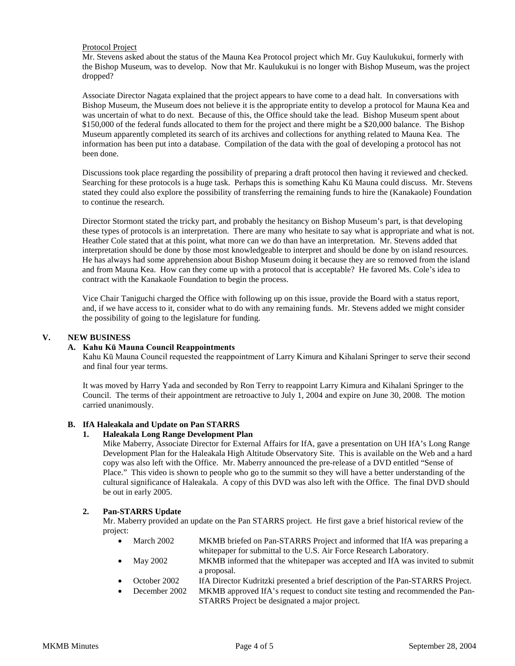#### Protocol Project

Mr. Stevens asked about the status of the Mauna Kea Protocol project which Mr. Guy Kaulukukui, formerly with the Bishop Museum, was to develop. Now that Mr. Kaulukukui is no longer with Bishop Museum, was the project dropped?

Associate Director Nagata explained that the project appears to have come to a dead halt. In conversations with Bishop Museum, the Museum does not believe it is the appropriate entity to develop a protocol for Mauna Kea and was uncertain of what to do next. Because of this, the Office should take the lead. Bishop Museum spent about \$150,000 of the federal funds allocated to them for the project and there might be a \$20,000 balance. The Bishop Museum apparently completed its search of its archives and collections for anything related to Mauna Kea. The information has been put into a database. Compilation of the data with the goal of developing a protocol has not been done.

Discussions took place regarding the possibility of preparing a draft protocol then having it reviewed and checked. Searching for these protocols is a huge task. Perhaps this is something Kahu Kū Mauna could discuss. Mr. Stevens stated they could also explore the possibility of transferring the remaining funds to hire the (Kanakaole) Foundation to continue the research.

Director Stormont stated the tricky part, and probably the hesitancy on Bishop Museum's part, is that developing these types of protocols is an interpretation. There are many who hesitate to say what is appropriate and what is not. Heather Cole stated that at this point, what more can we do than have an interpretation. Mr. Stevens added that interpretation should be done by those most knowledgeable to interpret and should be done by on island resources. He has always had some apprehension about Bishop Museum doing it because they are so removed from the island and from Mauna Kea. How can they come up with a protocol that is acceptable? He favored Ms. Cole's idea to contract with the Kanakaole Foundation to begin the process.

Vice Chair Taniguchi charged the Office with following up on this issue, provide the Board with a status report, and, if we have access to it, consider what to do with any remaining funds. Mr. Stevens added we might consider the possibility of going to the legislature for funding.

## **V. NEW BUSINESS**

### **A. Kahu Kū Mauna Council Reappointments**

Kahu Kū Mauna Council requested the reappointment of Larry Kimura and Kihalani Springer to serve their second and final four year terms.

It was moved by Harry Yada and seconded by Ron Terry to reappoint Larry Kimura and Kihalani Springer to the Council. The terms of their appointment are retroactive to July 1, 2004 and expire on June 30, 2008. The motion carried unanimously.

### **B. IfA Haleakala and Update on Pan STARRS**

### **1. Haleakala Long Range Development Plan**

Mike Maberry, Associate Director for External Affairs for IfA, gave a presentation on UH IfA's Long Range Development Plan for the Haleakala High Altitude Observatory Site. This is available on the Web and a hard copy was also left with the Office. Mr. Maberry announced the pre-release of a DVD entitled "Sense of Place." This video is shown to people who go to the summit so they will have a better understanding of the cultural significance of Haleakala. A copy of this DVD was also left with the Office. The final DVD should be out in early 2005.

### **2. Pan-STARRS Update**

Mr. Maberry provided an update on the Pan STARRS project. He first gave a brief historical review of the project:

- March 2002 MKMB briefed on Pan-STARRS Project and informed that IfA was preparing a whitepaper for submittal to the U.S. Air Force Research Laboratory.
- May 2002 MKMB informed that the whitepaper was accepted and IfA was invited to submit a proposal.
- October 2002 IfA Director Kudritzki presented a brief description of the Pan-STARRS Project.
- December 2002 MKMB approved IfA's request to conduct site testing and recommended the Pan-STARRS Project be designated a major project.